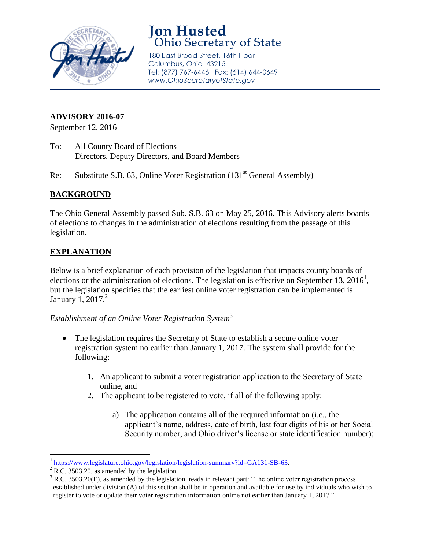

# **Jon Husted**<br>Ohio Secretary of State

180 East Broad Street, 16th Floor Columbus, Ohio 43215 Tel: (877) 767-6446 Fax: (614) 644-0649 www.OhioSecretaryofState.gov

### **ADVISORY 2016-07**

September 12, 2016

- To: All County Board of Elections Directors, Deputy Directors, and Board Members
- Re: Substitute S.B. 63, Online Voter Registration (131<sup>st</sup> General Assembly)

#### **BACKGROUND**

The Ohio General Assembly passed Sub. S.B. 63 on May 25, 2016. This Advisory alerts boards of elections to changes in the administration of elections resulting from the passage of this legislation.

# **EXPLANATION**

Below is a brief explanation of each provision of the legislation that impacts county boards of elections or the administration of elections. The legislation is effective on September 13, 2016<sup>1</sup>, but the legislation specifies that the earliest online voter registration can be implemented is January 1, 2017. $^2$ 

# *Establishment of an Online Voter Registration System*<sup>3</sup>

- The legislation requires the Secretary of State to establish a secure online voter registration system no earlier than January 1, 2017. The system shall provide for the following:
	- 1. An applicant to submit a voter registration application to the Secretary of State online, and
	- 2. The applicant to be registered to vote, if all of the following apply:
		- a) The application contains all of the required information (i.e., the applicant's name, address, date of birth, last four digits of his or her Social Security number, and Ohio driver's license or state identification number);

 1 [https://www.legislature.ohio.gov/legislation/legislation-summary?id=GA131-SB-63.](https://www.legislature.ohio.gov/legislation/legislation-summary?id=GA131-SB-63)

 $2^2$  R.C. 3503.20, as amended by the legislation.

 $3$  R.C. 3503.20(E), as amended by the legislation, reads in relevant part: "The online voter registration process established under division (A) of this section shall be in operation and available for use by individuals who wish to register to vote or update their voter registration information online not earlier than January 1, 2017."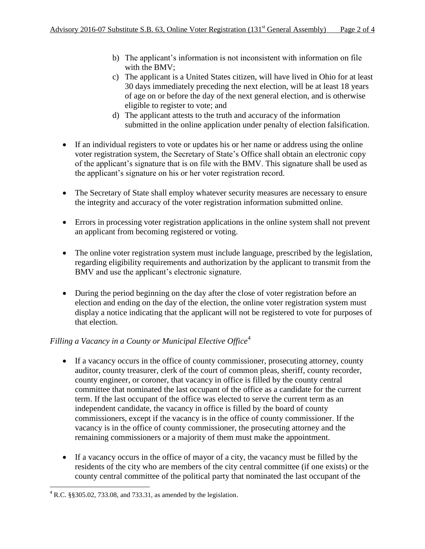- b) The applicant's information is not inconsistent with information on file with the BMV;
- c) The applicant is a United States citizen, will have lived in Ohio for at least 30 days immediately preceding the next election, will be at least 18 years of age on or before the day of the next general election, and is otherwise eligible to register to vote; and
- d) The applicant attests to the truth and accuracy of the information submitted in the online application under penalty of election falsification.
- If an individual registers to vote or updates his or her name or address using the online voter registration system, the Secretary of State's Office shall obtain an electronic copy of the applicant's signature that is on file with the BMV. This signature shall be used as the applicant's signature on his or her voter registration record.
- The Secretary of State shall employ whatever security measures are necessary to ensure the integrity and accuracy of the voter registration information submitted online.
- Errors in processing voter registration applications in the online system shall not prevent an applicant from becoming registered or voting.
- The online voter registration system must include language, prescribed by the legislation, regarding eligibility requirements and authorization by the applicant to transmit from the BMV and use the applicant's electronic signature.
- During the period beginning on the day after the close of voter registration before an election and ending on the day of the election, the online voter registration system must display a notice indicating that the applicant will not be registered to vote for purposes of that election.

# *Filling a Vacancy in a County or Municipal Elective Office*<sup>4</sup>

- If a vacancy occurs in the office of county commissioner, prosecuting attorney, county auditor, county treasurer, clerk of the court of common pleas, sheriff, county recorder, county engineer, or coroner, that vacancy in office is filled by the county central committee that nominated the last occupant of the office as a candidate for the current term. If the last occupant of the office was elected to serve the current term as an independent candidate, the vacancy in office is filled by the board of county commissioners, except if the vacancy is in the office of county commissioner. If the vacancy is in the office of county commissioner, the prosecuting attorney and the remaining commissioners or a majority of them must make the appointment.
- If a vacancy occurs in the office of mayor of a city, the vacancy must be filled by the residents of the city who are members of the city central committee (if one exists) or the county central committee of the political party that nominated the last occupant of the

 4 R.C. §§305.02, 733.08, and 733.31, as amended by the legislation.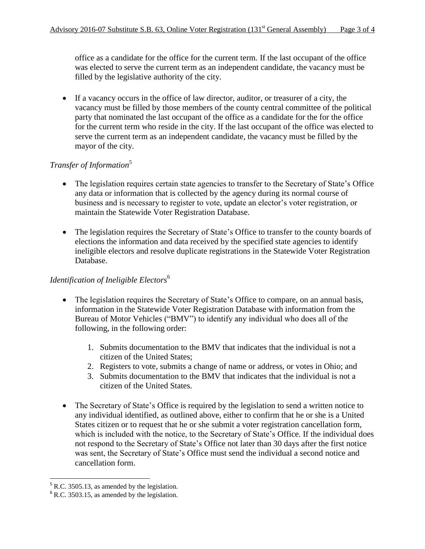office as a candidate for the office for the current term. If the last occupant of the office was elected to serve the current term as an independent candidate, the vacancy must be filled by the legislative authority of the city.

 If a vacancy occurs in the office of law director, auditor, or treasurer of a city, the vacancy must be filled by those members of the county central committee of the political party that nominated the last occupant of the office as a candidate for the for the office for the current term who reside in the city. If the last occupant of the office was elected to serve the current term as an independent candidate, the vacancy must be filled by the mayor of the city.

#### *Transfer of Information*<sup>5</sup>

- The legislation requires certain state agencies to transfer to the Secretary of State's Office any data or information that is collected by the agency during its normal course of business and is necessary to register to vote, update an elector's voter registration, or maintain the Statewide Voter Registration Database.
- The legislation requires the Secretary of State's Office to transfer to the county boards of elections the information and data received by the specified state agencies to identify ineligible electors and resolve duplicate registrations in the Statewide Voter Registration Database.

# *Identification of Ineligible Electors*<sup>6</sup>

- The legislation requires the Secretary of State's Office to compare, on an annual basis, information in the Statewide Voter Registration Database with information from the Bureau of Motor Vehicles ("BMV") to identify any individual who does all of the following, in the following order:
	- 1. Submits documentation to the BMV that indicates that the individual is not a citizen of the United States;
	- 2. Registers to vote, submits a change of name or address, or votes in Ohio; and
	- 3. Submits documentation to the BMV that indicates that the individual is not a citizen of the United States.
- The Secretary of State's Office is required by the legislation to send a written notice to any individual identified, as outlined above, either to confirm that he or she is a United States citizen or to request that he or she submit a voter registration cancellation form, which is included with the notice, to the Secretary of State's Office. If the individual does not respond to the Secretary of State's Office not later than 30 days after the first notice was sent, the Secretary of State's Office must send the individual a second notice and cancellation form.

l

 $<sup>5</sup>$  R.C. 3505.13, as amended by the legislation.</sup>

 $6$  R.C. 3503.15, as amended by the legislation.